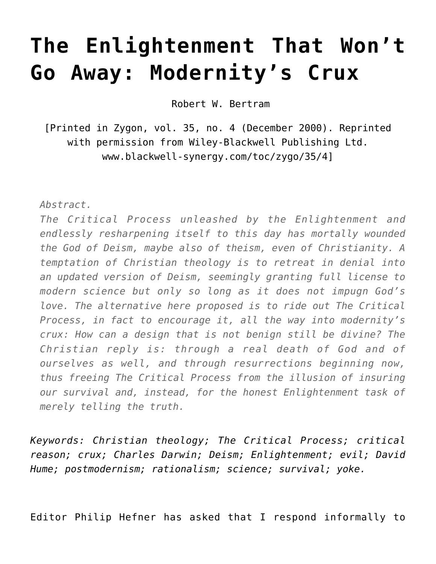## **[The Enlightenment That Won't](https://crossings.org/enlightenment-modernitys-crux/) [Go Away: Modernity's Crux](https://crossings.org/enlightenment-modernitys-crux/)**

Robert W. Bertram

[Printed in Zygon, vol. 35, no. 4 (December 2000). Reprinted with permission from Wiley-Blackwell Publishing Ltd. www.blackwell-synergy.com/toc/zygo/35/4]

*Abstract.*

*The Critical Process unleashed by the Enlightenment and endlessly resharpening itself to this day has mortally wounded the God of Deism, maybe also of theism, even of Christianity. A temptation of Christian theology is to retreat in denial into an updated version of Deism, seemingly granting full license to modern science but only so long as it does not impugn God's love. The alternative here proposed is to ride out The Critical Process, in fact to encourage it, all the way into modernity's crux: How can a design that is not benign still be divine? The Christian reply is: through a real death of God and of ourselves as well, and through resurrections beginning now, thus freeing The Critical Process from the illusion of insuring our survival and, instead, for the honest Enlightenment task of merely telling the truth.*

*Keywords: Christian theology; The Critical Process; critical reason; crux; Charles Darwin; Deism; Enlightenment; evil; David Hume; postmodernism; rationalism; science; survival; yoke.*

Editor Philip Hefner has asked that I respond informally to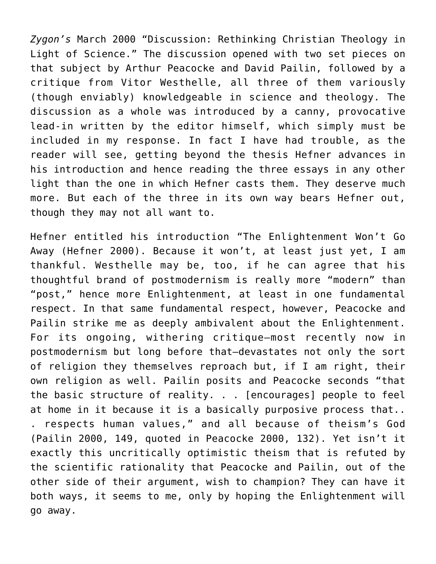*Zygon's* March 2000 "Discussion: Rethinking Christian Theology in Light of Science." The discussion opened with two set pieces on that subject by Arthur Peacocke and David Pailin, followed by a critique from Vitor Westhelle, all three of them variously (though enviably) knowledgeable in science and theology. The discussion as a whole was introduced by a canny, provocative lead-in written by the editor himself, which simply must be included in my response. In fact I have had trouble, as the reader will see, getting beyond the thesis Hefner advances in his introduction and hence reading the three essays in any other light than the one in which Hefner casts them. They deserve much more. But each of the three in its own way bears Hefner out, though they may not all want to.

Hefner entitled his introduction "The Enlightenment Won't Go Away (Hefner 2000). Because it won't, at least just yet, I am thankful. Westhelle may be, too, if he can agree that his thoughtful brand of postmodernism is really more "modern" than "post," hence more Enlightenment, at least in one fundamental respect. In that same fundamental respect, however, Peacocke and Pailin strike me as deeply ambivalent about the Enlightenment. For its ongoing, withering critique—most recently now in postmodernism but long before that—devastates not only the sort of religion they themselves reproach but, if I am right, their own religion as well. Pailin posits and Peacocke seconds "that the basic structure of reality. . . [encourages] people to feel at home in it because it is a basically purposive process that.. . respects human values," and all because of theism's God (Pailin 2000, 149, quoted in Peacocke 2000, 132). Yet isn't it exactly this uncritically optimistic theism that is refuted by the scientific rationality that Peacocke and Pailin, out of the other side of their argument, wish to champion? They can have it both ways, it seems to me, only by hoping the Enlightenment will go away.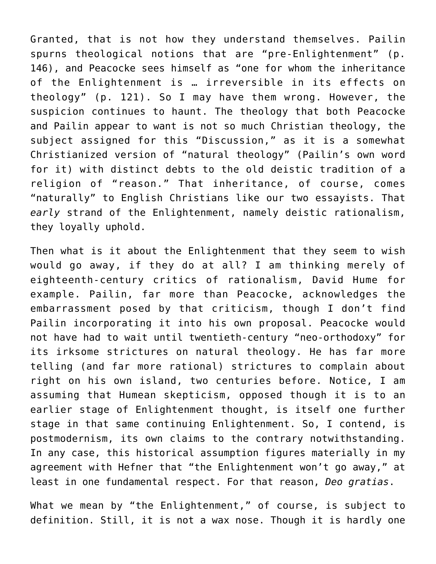Granted, that is not how they understand themselves. Pailin spurns theological notions that are "pre-Enlightenment" (p. 146), and Peacocke sees himself as "one for whom the inheritance of the Enlightenment is … irreversible in its effects on theology" (p. 121). So I may have them wrong. However, the suspicion continues to haunt. The theology that both Peacocke and Pailin appear to want is not so much Christian theology, the subject assigned for this "Discussion," as it is a somewhat Christianized version of "natural theology" (Pailin's own word for it) with distinct debts to the old deistic tradition of a religion of "reason." That inheritance, of course, comes "naturally" to English Christians like our two essayists. That *early* strand of the Enlightenment, namely deistic rationalism, they loyally uphold.

Then what is it about the Enlightenment that they seem to wish would go away, if they do at all? I am thinking merely of eighteenth-century critics of rationalism, David Hume for example. Pailin, far more than Peacocke, acknowledges the embarrassment posed by that criticism, though I don't find Pailin incorporating it into his own proposal. Peacocke would not have had to wait until twentieth-century "neo-orthodoxy" for its irksome strictures on natural theology. He has far more telling (and far more rational) strictures to complain about right on his own island, two centuries before. Notice, I am assuming that Humean skepticism, opposed though it is to an earlier stage of Enlightenment thought, is itself one further stage in that same continuing Enlightenment. So, I contend, is postmodernism, its own claims to the contrary notwithstanding. In any case, this historical assumption figures materially in my agreement with Hefner that "the Enlightenment won't go away," at least in one fundamental respect. For that reason, *Deo gratias*.

What we mean by "the Enlightenment," of course, is subject to definition. Still, it is not a wax nose. Though it is hardly one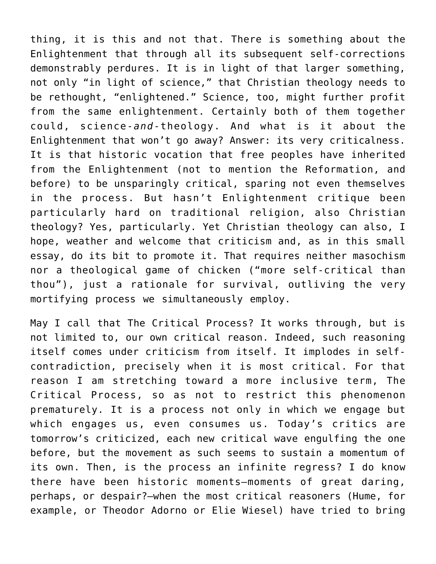thing, it is this and not that. There is something about the Enlightenment that through all its subsequent self-corrections demonstrably perdures. It is in light of that larger something, not only "in light of science," that Christian theology needs to be rethought, "enlightened." Science, too, might further profit from the same enlightenment. Certainly both of them together could, science-*and*-theology. And what is it about the Enlightenment that won't go away? Answer: its very criticalness. It is that historic vocation that free peoples have inherited from the Enlightenment (not to mention the Reformation, and before) to be unsparingly critical, sparing not even themselves in the process. But hasn't Enlightenment critique been particularly hard on traditional religion, also Christian theology? Yes, particularly. Yet Christian theology can also, I hope, weather and welcome that criticism and, as in this small essay, do its bit to promote it. That requires neither masochism nor a theological game of chicken ("more self-critical than thou"), just a rationale for survival, outliving the very mortifying process we simultaneously employ.

May I call that The Critical Process? It works through, but is not limited to, our own critical reason. Indeed, such reasoning itself comes under criticism from itself. It implodes in selfcontradiction, precisely when it is most critical. For that reason I am stretching toward a more inclusive term, The Critical Process, so as not to restrict this phenomenon prematurely. It is a process not only in which we engage but which engages us, even consumes us. Today's critics are tomorrow's criticized, each new critical wave engulfing the one before, but the movement as such seems to sustain a momentum of its own. Then, is the process an infinite regress? I do know there have been historic moments—moments of great daring, perhaps, or despair?—when the most critical reasoners (Hume, for example, or Theodor Adorno or Elie Wiesel) have tried to bring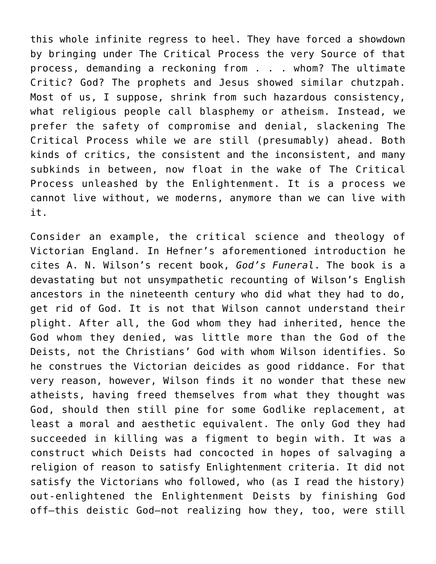this whole infinite regress to heel. They have forced a showdown by bringing under The Critical Process the very Source of that process, demanding a reckoning from . . . whom? The ultimate Critic? God? The prophets and Jesus showed similar chutzpah. Most of us, I suppose, shrink from such hazardous consistency, what religious people call blasphemy or atheism. Instead, we prefer the safety of compromise and denial, slackening The Critical Process while we are still (presumably) ahead. Both kinds of critics, the consistent and the inconsistent, and many subkinds in between, now float in the wake of The Critical Process unleashed by the Enlightenment. It is a process we cannot live without, we moderns, anymore than we can live with it.

Consider an example, the critical science and theology of Victorian England. In Hefner's aforementioned introduction he cites A. N. Wilson's recent book, *God's Funeral*. The book is a devastating but not unsympathetic recounting of Wilson's English ancestors in the nineteenth century who did what they had to do, get rid of God. It is not that Wilson cannot understand their plight. After all, the God whom they had inherited, hence the God whom they denied, was little more than the God of the Deists, not the Christians' God with whom Wilson identifies. So he construes the Victorian deicides as good riddance. For that very reason, however, Wilson finds it no wonder that these new atheists, having freed themselves from what they thought was God, should then still pine for some Godlike replacement, at least a moral and aesthetic equivalent. The only God they had succeeded in killing was a figment to begin with. It was a construct which Deists had concocted in hopes of salvaging a religion of reason to satisfy Enlightenment criteria. It did not satisfy the Victorians who followed, who (as I read the history) out-enlightened the Enlightenment Deists by finishing God off—this deistic God—not realizing how they, too, were still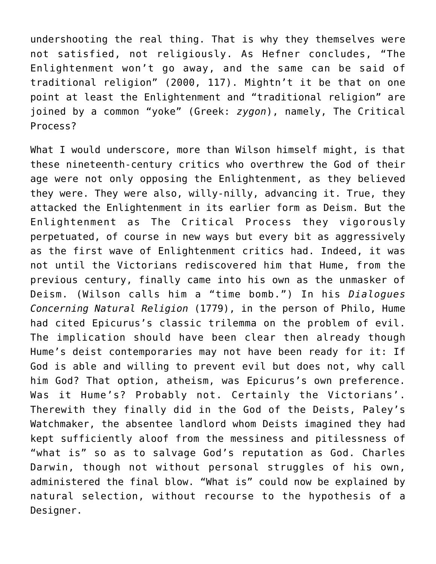undershooting the real thing. That is why they themselves were not satisfied, not religiously. As Hefner concludes, "The Enlightenment won't go away, and the same can be said of traditional religion" (2000, 117). Mightn't it be that on one point at least the Enlightenment and "traditional religion" are joined by a common "yoke" (Greek: *zygon*), namely, The Critical Process?

What I would underscore, more than Wilson himself might, is that these nineteenth-century critics who overthrew the God of their age were not only opposing the Enlightenment, as they believed they were. They were also, willy-nilly, advancing it. True, they attacked the Enlightenment in its earlier form as Deism. But the Enlightenment as The Critical Process they vigorously perpetuated, of course in new ways but every bit as aggressively as the first wave of Enlightenment critics had. Indeed, it was not until the Victorians rediscovered him that Hume, from the previous century, finally came into his own as the unmasker of Deism. (Wilson calls him a "time bomb.") In his *Dialogues Concerning Natural Religion* (1779), in the person of Philo, Hume had cited Epicurus's classic trilemma on the problem of evil. The implication should have been clear then already though Hume's deist contemporaries may not have been ready for it: If God is able and willing to prevent evil but does not, why call him God? That option, atheism, was Epicurus's own preference. Was it Hume's? Probably not. Certainly the Victorians'. Therewith they finally did in the God of the Deists, Paley's Watchmaker, the absentee landlord whom Deists imagined they had kept sufficiently aloof from the messiness and pitilessness of "what is" so as to salvage God's reputation as God. Charles Darwin, though not without personal struggles of his own, administered the final blow. "What is" could now be explained by natural selection, without recourse to the hypothesis of a Designer.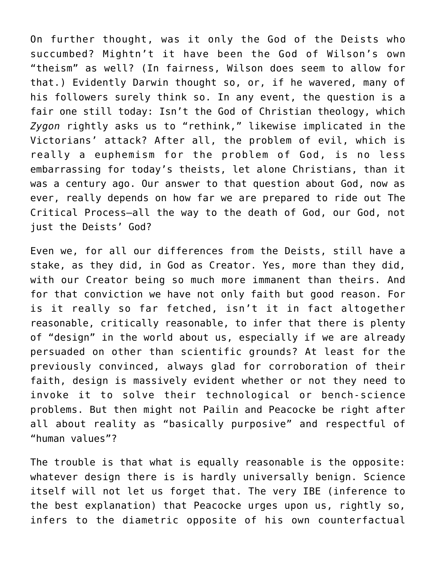On further thought, was it only the God of the Deists who succumbed? Mightn't it have been the God of Wilson's own "theism" as well? (In fairness, Wilson does seem to allow for that.) Evidently Darwin thought so, or, if he wavered, many of his followers surely think so. In any event, the question is a fair one still today: Isn't the God of Christian theology, which *Zygon* rightly asks us to "rethink," likewise implicated in the Victorians' attack? After all, the problem of evil, which is really a euphemism for the problem of God, is no less embarrassing for today's theists, let alone Christians, than it was a century ago. Our answer to that question about God, now as ever, really depends on how far we are prepared to ride out The Critical Process—all the way to the death of God, our God, not just the Deists' God?

Even we, for all our differences from the Deists, still have a stake, as they did, in God as Creator. Yes, more than they did, with our Creator being so much more immanent than theirs. And for that conviction we have not only faith but good reason. For is it really so far fetched, isn't it in fact altogether reasonable, critically reasonable, to infer that there is plenty of "design" in the world about us, especially if we are already persuaded on other than scientific grounds? At least for the previously convinced, always glad for corroboration of their faith, design is massively evident whether or not they need to invoke it to solve their technological or bench-science problems. But then might not Pailin and Peacocke be right after all about reality as "basically purposive" and respectful of "human values"?

The trouble is that what is equally reasonable is the opposite: whatever design there is is hardly universally benign. Science itself will not let us forget that. The very IBE (inference to the best explanation) that Peacocke urges upon us, rightly so, infers to the diametric opposite of his own counterfactual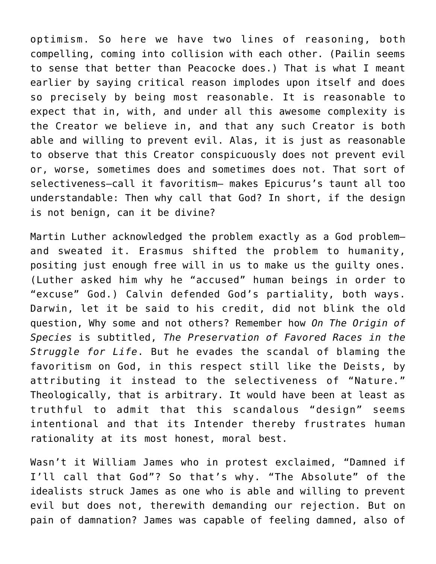optimism. So here we have two lines of reasoning, both compelling, coming into collision with each other. (Pailin seems to sense that better than Peacocke does.) That is what I meant earlier by saying critical reason implodes upon itself and does so precisely by being most reasonable. It is reasonable to expect that in, with, and under all this awesome complexity is the Creator we believe in, and that any such Creator is both able and willing to prevent evil. Alas, it is just as reasonable to observe that this Creator conspicuously does not prevent evil or, worse, sometimes does and sometimes does not. That sort of selectiveness—call it favoritism— makes Epicurus's taunt all too understandable: Then why call that God? In short, if the design is not benign, can it be divine?

Martin Luther acknowledged the problem exactly as a God problem and sweated it. Erasmus shifted the problem to humanity, positing just enough free will in us to make us the guilty ones. (Luther asked him why he "accused" human beings in order to "excuse" God.) Calvin defended God's partiality, both ways. Darwin, let it be said to his credit, did not blink the old question, Why some and not others? Remember how *On The Origin of Species* is subtitled, *The Preservation of Favored Races in the Struggle for Life*. But he evades the scandal of blaming the favoritism on God, in this respect still like the Deists, by attributing it instead to the selectiveness of "Nature." Theologically, that is arbitrary. It would have been at least as truthful to admit that this scandalous "design" seems intentional and that its Intender thereby frustrates human rationality at its most honest, moral best.

Wasn't it William James who in protest exclaimed, "Damned if I'll call that God"? So that's why. "The Absolute" of the idealists struck James as one who is able and willing to prevent evil but does not, therewith demanding our rejection. But on pain of damnation? James was capable of feeling damned, also of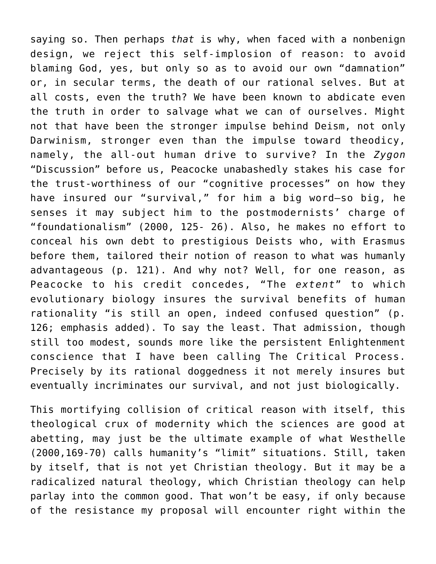saying so. Then perhaps *that* is why, when faced with a nonbenign design, we reject this self-implosion of reason: to avoid blaming God, yes, but only so as to avoid our own "damnation" or, in secular terms, the death of our rational selves. But at all costs, even the truth? We have been known to abdicate even the truth in order to salvage what we can of ourselves. Might not that have been the stronger impulse behind Deism, not only Darwinism, stronger even than the impulse toward theodicy, namely, the all-out human drive to survive? In the *Zygon* "Discussion" before us, Peacocke unabashedly stakes his case for the trust-worthiness of our "cognitive processes" on how they have insured our "survival," for him a big word—so big, he senses it may subject him to the postmodernists' charge of "foundationalism" (2000, 125- 26). Also, he makes no effort to conceal his own debt to prestigious Deists who, with Erasmus before them, tailored their notion of reason to what was humanly advantageous (p. 121). And why not? Well, for one reason, as Peacocke to his credit concedes, "The *extent*" to which evolutionary biology insures the survival benefits of human rationality "is still an open, indeed confused question" (p. 126; emphasis added). To say the least. That admission, though still too modest, sounds more like the persistent Enlightenment conscience that I have been calling The Critical Process. Precisely by its rational doggedness it not merely insures but eventually incriminates our survival, and not just biologically.

This mortifying collision of critical reason with itself, this theological crux of modernity which the sciences are good at abetting, may just be the ultimate example of what Westhelle (2000,169-70) calls humanity's "limit" situations. Still, taken by itself, that is not yet Christian theology. But it may be a radicalized natural theology, which Christian theology can help parlay into the common good. That won't be easy, if only because of the resistance my proposal will encounter right within the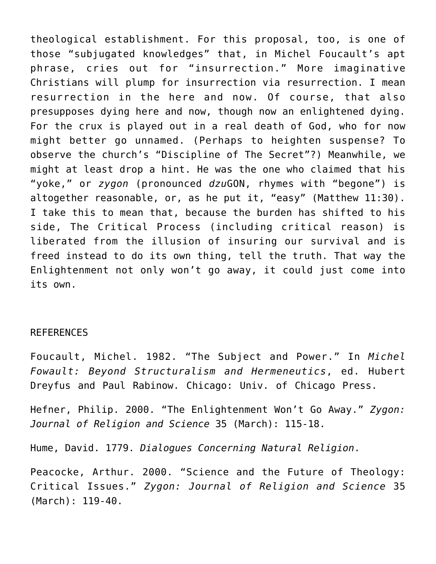theological establishment. For this proposal, too, is one of those "subjugated knowledges" that, in Michel Foucault's apt phrase, cries out for "insurrection." More imaginative Christians will plump for insurrection via resurrection. I mean resurrection in the here and now. Of course, that also presupposes dying here and now, though now an enlightened dying. For the crux is played out in a real death of God, who for now might better go unnamed. (Perhaps to heighten suspense? To observe the church's "Discipline of The Secret"?) Meanwhile, we might at least drop a hint. He was the one who claimed that his "yoke," or *zygon* (pronounced *dzu*GON, rhymes with "begone") is altogether reasonable, or, as he put it, "easy" (Matthew 11:30). I take this to mean that, because the burden has shifted to his side, The Critical Process (including critical reason) is liberated from the illusion of insuring our survival and is freed instead to do its own thing, tell the truth. That way the Enlightenment not only won't go away, it could just come into its own.

## REFERENCES

Foucault, Michel. 1982. "The Subject and Power." In *Michel Fowault: Beyond Structuralism and Hermeneutics*, ed. Hubert Dreyfus and Paul Rabinow. Chicago: Univ. of Chicago Press.

Hefner, Philip. 2000. "The Enlightenment Won't Go Away." *Zygon: Journal of Religion and Science* 35 (March): 115-18.

Hume, David. 1779. *Dialogues Concerning Natural Religion*.

Peacocke, Arthur. 2000. "Science and the Future of Theology: Critical Issues." *Zygon: Journal of Religion and Science* 35 (March): 119-40.